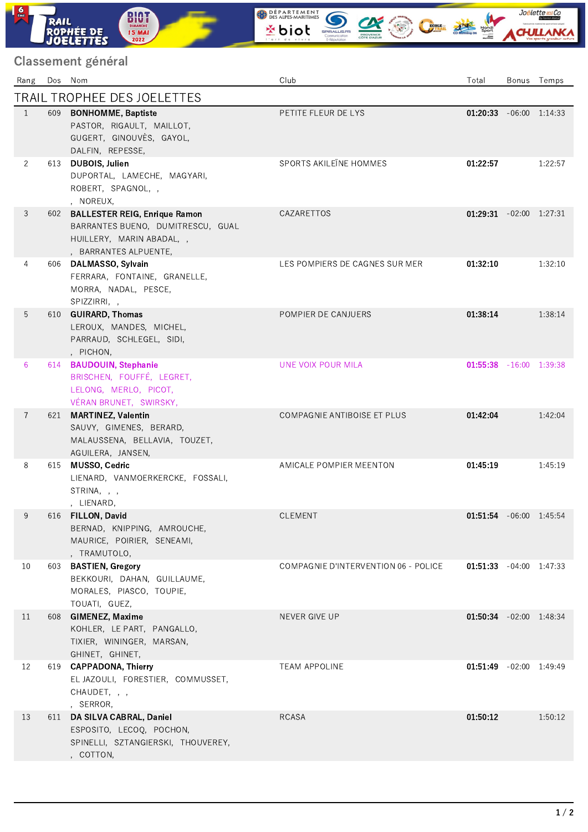## Classement général

**RAIL<br>ROPHÉE DE<br>JOELETTES** 

**BIOT**<br>**DIMANCHE**<br>**15 MAI**<br>2022

 $\frac{6}{2}$ 

| Rang                        |     | Dos Nom                                                                                                                        | Club                                 | Total                            |  | Bonus Temps |  |  |  |  |
|-----------------------------|-----|--------------------------------------------------------------------------------------------------------------------------------|--------------------------------------|----------------------------------|--|-------------|--|--|--|--|
| TRAIL TROPHEE DES JOELETTES |     |                                                                                                                                |                                      |                                  |  |             |  |  |  |  |
| $\mathbf{1}$                | 609 | <b>BONHOMME, Baptiste</b><br>PASTOR, RIGAULT, MAILLOT,<br>GUGERT, GINOUVÈS, GAYOL,<br>DALFIN, REPESSE,                         | PETITE FLEUR DE LYS                  | $01.20.33 -06:00 \quad 1:14:33$  |  |             |  |  |  |  |
| $\overline{2}$              | 613 | DUBOIS, Julien<br>DUPORTAL, LAMECHE, MAGYARI,<br>ROBERT, SPAGNOL, ,<br>, NOREUX,                                               | SPORTS AKILEÏNE HOMMES               | 01:22:57                         |  | 1:22:57     |  |  |  |  |
| 3                           | 602 | <b>BALLESTER REIG, Enrique Ramon</b><br>BARRANTES BUENO, DUMITRESCU, GUAL<br>HUILLERY, MARIN ABADAL,,<br>, BARRANTES ALPUENTE, | CAZARETTOS                           | $01.29.31 -02.00 1.27.31$        |  |             |  |  |  |  |
| 4                           | 606 | DALMASSO, Sylvain<br>FERRARA, FONTAINE, GRANELLE,<br>MORRA, NADAL, PESCE,<br>SPIZZIRRI,,                                       | LES POMPIERS DE CAGNES SUR MER       | 01:32:10                         |  | 1:32:10     |  |  |  |  |
| 5                           |     | 610 GUIRARD, Thomas<br>LEROUX, MANDES, MICHEL,<br>PARRAUD, SCHLEGEL, SIDI,<br>, PICHON,                                        | POMPIER DE CANJUERS                  | 01:38:14                         |  | 1:38:14     |  |  |  |  |
| 6                           | 614 | <b>BAUDOUIN, Stephanie</b><br>BRISCHEN, FOUFFÉ, LEGRET,<br>LELONG, MERLO, PICOT,<br>VÉRAN BRUNET, SWIRSKY,                     | UNE VOIX POUR MILA                   | <b>01:55:38</b> $-16:00$ 1:39:38 |  |             |  |  |  |  |
| $\overline{7}$              | 621 | <b>MARTINEZ, Valentin</b><br>SAUVY, GIMENES, BERARD,<br>MALAUSSENA, BELLAVIA, TOUZET,<br>AGUILERA, JANSEN,                     | COMPAGNIE ANTIBOISE ET PLUS          | 01:42:04                         |  | 1:42:04     |  |  |  |  |
| 8                           | 615 | MUSSO, Cedric<br>LIENARD, VANMOERKERCKE, FOSSALI,<br>STRINA, , ,<br>, LIENARD,                                                 | AMICALE POMPIER MEENTON              | 01:45:19                         |  | 1:45:19     |  |  |  |  |
| 9                           |     | 616 FILLON, David<br>BERNAD, KNIPPING, AMROUCHE,<br>MAURICE, POIRIER, SENEAMI,<br>, TRAMUTOLO,                                 | CLEMENT                              | 01:51:54 -06:00 1:45:54          |  |             |  |  |  |  |
| 10                          | 603 | <b>BASTIEN, Gregory</b><br>BEKKOURI, DAHAN, GUILLAUME,<br>MORALES, PIASCO, TOUPIE,<br>TOUATI, GUEZ,                            | COMPAGNIE D'INTERVENTION 06 - POLICE | $01:51:33 -04:00 1:47:33$        |  |             |  |  |  |  |
| 11                          | 608 | <b>GIMENEZ, Maxime</b><br>KOHLER, LE PART, PANGALLO,<br>TIXIER, WININGER, MARSAN,<br>GHINET, GHINET,                           | NEVER GIVE UP                        | 01:50:34 -02:00 1:48:34          |  |             |  |  |  |  |
| 12                          | 619 | <b>CAPPADONA, Thierry</b><br>EL JAZOULI, FORESTIER, COMMUSSET,<br>CHAUDET, , ,<br>, SERROR,                                    | <b>TEAM APPOLINE</b>                 | 01.51.49 -02:00 1:49:49          |  |             |  |  |  |  |
| 13                          | 611 | DA SILVA CABRAL, Daniel<br>ESPOSITO, LECOQ, POCHON,<br>SPINELLI, SZTANGIERSKI, THOUVEREY,<br>, COTTON,                         | <b>RCASA</b>                         | 01:50:12                         |  | 1:50:12     |  |  |  |  |

WEBARTEMENT SOLOMONDS

Joëlette and Co

ACHULLANK